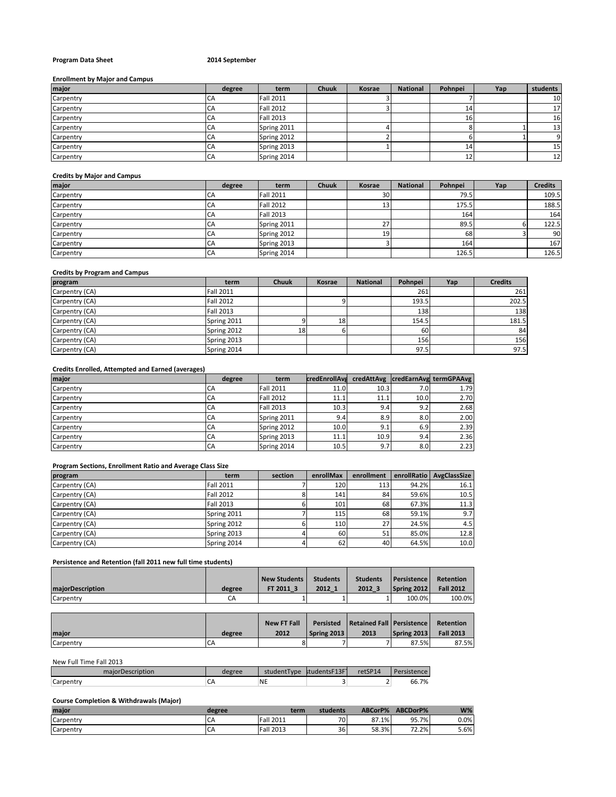# **Program Data Sheet 2014 September**

## **Enrollment by Major and Campus**

| major     | degree | term             | <b>Chuuk</b> | Kosrae | <b>National</b> | Pohnpei | Yap | students |
|-----------|--------|------------------|--------------|--------|-----------------|---------|-----|----------|
| Carpentry | CA     | <b>Fall 2011</b> |              |        |                 |         |     | 10       |
| Carpentry | CA     | <b>Fall 2012</b> |              |        |                 |         |     | 17       |
| Carpentry | CA     | <b>Fall 2013</b> |              |        |                 | 16.     |     | 16       |
| Carpentry | CA     | Spring 2011      |              |        |                 |         |     | 13       |
| Carpentry | CA     | Spring 2012      |              |        |                 |         |     | 9        |
| Carpentry | CA     | Spring 2013      |              |        |                 |         |     | 15       |
| Carpentry | CA     | Spring 2014      |              |        |                 |         |     | 12       |

#### **Credits by Major and Campus**

| major     | degree    | term             | <b>Chuuk</b> | Kosrae          | <b>National</b> | Pohnpei | Yap | <b>Credits</b> |
|-----------|-----------|------------------|--------------|-----------------|-----------------|---------|-----|----------------|
| Carpentry | CA        | <b>Fall 2011</b> |              | 30 <sup>1</sup> |                 | 79.5    |     | 109.5          |
| Carpentry | CA        | Fall 2012        |              | 13              |                 | 175.5   |     | 188.5          |
| Carpentry | CA        | <b>Fall 2013</b> |              |                 |                 | 164     |     | 164            |
| Carpentry | CA        | Spring 2011      |              | 27              |                 | 89.5    |     | 122.5          |
| Carpentry | <b>CA</b> | Spring 2012      |              | 19              |                 | 68      |     | 90             |
| Carpentry | CA        | Spring 2013      |              |                 |                 | 164     |     | 167            |
| Carpentry | CA        | Spring 2014      |              |                 |                 | 126.5   |     | 126.5          |

# **Credits by Program and Campus**

| program        | term        | <b>Chuuk</b> | Kosrae | <b>National</b> | Pohnpei | Yap | <b>Credits</b> |
|----------------|-------------|--------------|--------|-----------------|---------|-----|----------------|
| Carpentry (CA) | Fall 2011   |              |        |                 | 261     |     | 261            |
| Carpentry (CA) | Fall 2012   |              |        |                 | 193.5   |     | 202.5          |
| Carpentry (CA) | Fall 2013   |              |        |                 | 138     |     | 138            |
| Carpentry (CA) | Spring 2011 |              | 18     |                 | 154.5   |     | 181.5          |
| Carpentry (CA) | Spring 2012 | 18           |        |                 | 60      |     | 84             |
| Carpentry (CA) | Spring 2013 |              |        |                 | 156     |     | 156            |
| Carpentry (CA) | Spring 2014 |              |        |                 | 97.5    |     | 97.5           |

## **Credits Enrolled, Attempted and Earned (averages)**

| major     | degree | term             | credEnrollAva |                  |      | credAttAvg credEarnAvg termGPAAvg |
|-----------|--------|------------------|---------------|------------------|------|-----------------------------------|
| Carpentry | СA     | <b>Fall 2011</b> | 11.0          | 10.3             | 7.0  | 1.79                              |
| Carpentry | CA     | <b>Fall 2012</b> | 11.1          | 11.1             | 10.0 | 2.70                              |
| Carpentry | CA     | <b>Fall 2013</b> | 10.3          | 9.4              | 9.2  | 2.68                              |
| Carpentry | CA     | Spring 2011      | 9.4           | 8.9 <sub>1</sub> | 8.0  | 2.00                              |
| Carpentry | CA     | Spring 2012      | 10.0          | 9.1 <sub>1</sub> | 6.9  | 2.39                              |
| Carpentry | CA     | Spring 2013      | 11.1          | 10.9             | 9.4  | 2.36                              |
| Carpentry | CA     | Spring 2014      | 10.5          | 9.7 <sub>1</sub> | 8.0  | 2.23                              |

# **Program Sections, Enrollment Ratio and Average Class Size**

| program        | term             | section | enrollMax | enrollment      |       | enrollRatio AvgClassSize |
|----------------|------------------|---------|-----------|-----------------|-------|--------------------------|
| Carpentry (CA) | <b>Fall 2011</b> |         | 120       | 113             | 94.2% | 16.1                     |
| Carpentry (CA) | <b>Fall 2012</b> |         | 141       | 84              | 59.6% | 10.5                     |
| Carpentry (CA) | <b>Fall 2013</b> |         | 101       | 68              | 67.3% | 11.3                     |
| Carpentry (CA) | Spring 2011      |         | 115       | 68              | 59.1% | 9.7                      |
| Carpentry (CA) | Spring 2012      |         | 110       | 27 <sub>1</sub> | 24.5% | 4.5                      |
| Carpentry (CA) | Spring 2013      |         | 60        | 51 <sub>1</sub> | 85.0% | 12.8                     |
| Carpentry (CA) | Spring 2014      |         | 62        | 40              | 64.5% | 10.0                     |

# **Persistence and Retention (fall 2011 new full time students)**

| <b>majorDescription</b> | degree | <b>New Students</b><br>FT 2011 3 | <b>Students</b><br>2012 1 | <b>Students</b><br>2012 3 | <b>Persistence</b><br>Spring 2012 | Retention<br><b>Fall 2012</b> |
|-------------------------|--------|----------------------------------|---------------------------|---------------------------|-----------------------------------|-------------------------------|
| Carpentry               | СA     |                                  |                           |                           | 100.0%                            | 100.0%                        |

| maior     | degree | <b>New FT Fall</b><br>2012 | Spring 2013 | Persisted Retained Fall Persistence<br>2013 | Spring 2013 | Retention<br><b>Fall 2013</b> |
|-----------|--------|----------------------------|-------------|---------------------------------------------|-------------|-------------------------------|
| Carpentry | CA     |                            |             |                                             | 87.5%       | 87.5%                         |

## New Full Time Fall 2013

| วrDescription<br>maio | egree | studentType | studentsF13F | retSP14 | $\mathbf{D}$<br>$-100$ |
|-----------------------|-------|-------------|--------------|---------|------------------------|
| ∽<br>Carpentr         | ∽     | <b>NE</b>   |              | ∸       | 66.7%                  |

## **Course Completion & Withdrawals (Major)**

| major     | degree | term             | students | ABCorP% | ABCDorP% | W%   |
|-----------|--------|------------------|----------|---------|----------|------|
| Carpentry | CΑ     | <b>Fall 2011</b> | 701      | 87.1%   | 95.7%    | 0.0% |
| Carpentry | CΑ     | <b>Fall 2013</b> | 36       | 58.3%   | 72.2%    | 5.6% |